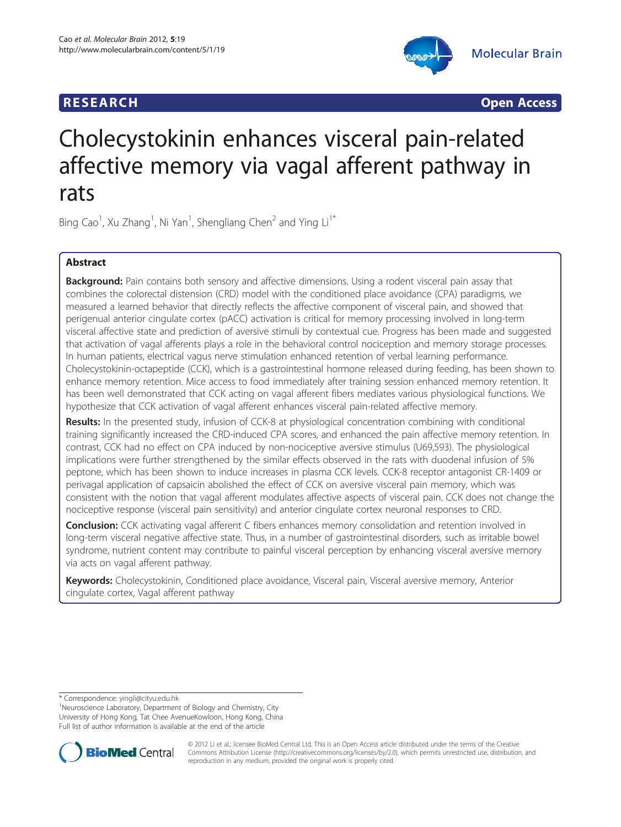

**RESEARCH CHINESE ARCH CHINESE ARCH CHINESE ARCH** 

# Cholecystokinin enhances visceral pain-related affective memory via vagal afferent pathway in rats

Bing Cao<sup>1</sup>, Xu Zhang<sup>1</sup>, Ni Yan<sup>1</sup>, Shengliang Chen<sup>2</sup> and Ying Li<sup>1\*</sup>

# Abstract

Background: Pain contains both sensory and affective dimensions. Using a rodent visceral pain assay that combines the colorectal distension (CRD) model with the conditioned place avoidance (CPA) paradigms, we measured a learned behavior that directly reflects the affective component of visceral pain, and showed that perigenual anterior cingulate cortex (pACC) activation is critical for memory processing involved in long-term visceral affective state and prediction of aversive stimuli by contextual cue. Progress has been made and suggested that activation of vagal afferents plays a role in the behavioral control nociception and memory storage processes. In human patients, electrical vagus nerve stimulation enhanced retention of verbal learning performance. Cholecystokinin-octapeptide (CCK), which is a gastrointestinal hormone released during feeding, has been shown to enhance memory retention. Mice access to food immediately after training session enhanced memory retention. It has been well demonstrated that CCK acting on vagal afferent fibers mediates various physiological functions. We hypothesize that CCK activation of vagal afferent enhances visceral pain-related affective memory.

Results: In the presented study, infusion of CCK-8 at physiological concentration combining with conditional training significantly increased the CRD-induced CPA scores, and enhanced the pain affective memory retention. In contrast, CCK had no effect on CPA induced by non-nociceptive aversive stimulus (U69,593). The physiological implications were further strengthened by the similar effects observed in the rats with duodenal infusion of 5% peptone, which has been shown to induce increases in plasma CCK levels. CCK-8 receptor antagonist CR-1409 or perivagal application of capsaicin abolished the effect of CCK on aversive visceral pain memory, which was consistent with the notion that vagal afferent modulates affective aspects of visceral pain. CCK does not change the nociceptive response (visceral pain sensitivity) and anterior cingulate cortex neuronal responses to CRD.

**Conclusion:** CCK activating vagal afferent C fibers enhances memory consolidation and retention involved in long-term visceral negative affective state. Thus, in a number of gastrointestinal disorders, such as irritable bowel syndrome, nutrient content may contribute to painful visceral perception by enhancing visceral aversive memory via acts on vagal afferent pathway.

Keywords: Cholecystokinin, Conditioned place avoidance, Visceral pain, Visceral aversive memory, Anterior cingulate cortex, Vagal afferent pathway

<sup>&</sup>lt;sup>1</sup>Neuroscience Laboratory, Department of Biology and Chemistry, City University of Hong Kong, Tat Chee AvenueKowloon, Hong Kong, China Full list of author information is available at the end of the article



© 2012 Li et al.; licensee BioMed Central Ltd. This is an Open Access article distributed under the terms of the Creative Commons Attribution License [\(http://creativecommons.org/licenses/by/2.0\)](http://creativecommons.org/licenses/by/2.0), which permits unrestricted use, distribution, and reproduction in any medium, provided the original work is properly cited.

<sup>\*</sup> Correspondence: [yingli@cityu.edu.hk](mailto:yingli@cityu.edu.hk) <sup>1</sup>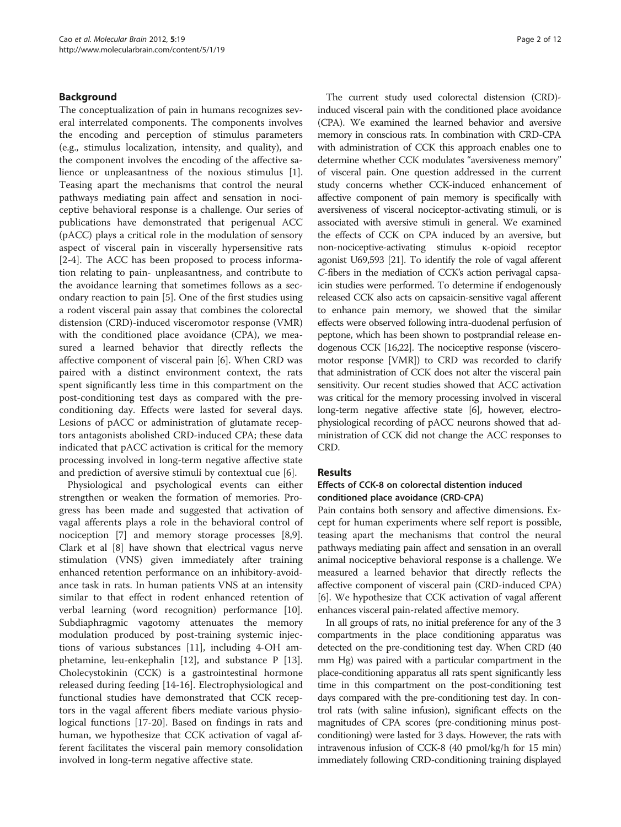#### Background

The conceptualization of pain in humans recognizes several interrelated components. The components involves the encoding and perception of stimulus parameters (e.g., stimulus localization, intensity, and quality), and the component involves the encoding of the affective salience or unpleasantness of the noxious stimulus [\[1](#page-10-0)]. Teasing apart the mechanisms that control the neural pathways mediating pain affect and sensation in nociceptive behavioral response is a challenge. Our series of publications have demonstrated that perigenual ACC (pACC) plays a critical role in the modulation of sensory aspect of visceral pain in viscerally hypersensitive rats [[2-4](#page-10-0)]. The ACC has been proposed to process information relating to pain- unpleasantness, and contribute to the avoidance learning that sometimes follows as a secondary reaction to pain [[5\]](#page-10-0). One of the first studies using a rodent visceral pain assay that combines the colorectal distension (CRD)-induced visceromotor response (VMR) with the conditioned place avoidance (CPA), we measured a learned behavior that directly reflects the affective component of visceral pain [\[6](#page-10-0)]. When CRD was paired with a distinct environment context, the rats spent significantly less time in this compartment on the post-conditioning test days as compared with the preconditioning day. Effects were lasted for several days. Lesions of pACC or administration of glutamate receptors antagonists abolished CRD-induced CPA; these data indicated that pACC activation is critical for the memory processing involved in long-term negative affective state and prediction of aversive stimuli by contextual cue [[6\]](#page-10-0).

Physiological and psychological events can either strengthen or weaken the formation of memories. Progress has been made and suggested that activation of vagal afferents plays a role in the behavioral control of nociception [[7\]](#page-10-0) and memory storage processes [\[8,9](#page-10-0)]. Clark et al [[8\]](#page-10-0) have shown that electrical vagus nerve stimulation (VNS) given immediately after training enhanced retention performance on an inhibitory-avoidance task in rats. In human patients VNS at an intensity similar to that effect in rodent enhanced retention of verbal learning (word recognition) performance [\[10](#page-10-0)]. Subdiaphragmic vagotomy attenuates the memory modulation produced by post-training systemic injections of various substances [[11\]](#page-10-0), including 4-OH amphetamine, leu-enkephalin [[12\]](#page-10-0), and substance P [\[13](#page-10-0)]. Cholecystokinin (CCK) is a gastrointestinal hormone released during feeding [[14-16](#page-10-0)]. Electrophysiological and functional studies have demonstrated that CCK receptors in the vagal afferent fibers mediate various physiological functions [\[17](#page-10-0)-[20\]](#page-10-0). Based on findings in rats and human, we hypothesize that CCK activation of vagal afferent facilitates the visceral pain memory consolidation involved in long-term negative affective state.

The current study used colorectal distension (CRD) induced visceral pain with the conditioned place avoidance (CPA). We examined the learned behavior and aversive memory in conscious rats. In combination with CRD-CPA with administration of CCK this approach enables one to determine whether CCK modulates "aversiveness memory" of visceral pain. One question addressed in the current study concerns whether CCK-induced enhancement of affective component of pain memory is specifically with aversiveness of visceral nociceptor-activating stimuli, or is associated with aversive stimuli in general. We examined the effects of CCK on CPA induced by an aversive, but non-nociceptive-activating stimulus κ-opioid receptor agonist U69,593 [\[21](#page-10-0)]. To identify the role of vagal afferent C-fibers in the mediation of CCK's action perivagal capsaicin studies were performed. To determine if endogenously released CCK also acts on capsaicin-sensitive vagal afferent to enhance pain memory, we showed that the similar effects were observed following intra-duodenal perfusion of peptone, which has been shown to postprandial release endogenous CCK [\[16,22](#page-10-0)]. The nociceptive response (visceromotor response [VMR]) to CRD was recorded to clarify that administration of CCK does not alter the visceral pain sensitivity. Our recent studies showed that ACC activation was critical for the memory processing involved in visceral long-term negative affective state [[6](#page-10-0)], however, electrophysiological recording of pACC neurons showed that administration of CCK did not change the ACC responses to CRD.

#### Results

# Effects of CCK-8 on colorectal distention induced conditioned place avoidance (CRD-CPA)

Pain contains both sensory and affective dimensions. Except for human experiments where self report is possible, teasing apart the mechanisms that control the neural pathways mediating pain affect and sensation in an overall animal nociceptive behavioral response is a challenge. We measured a learned behavior that directly reflects the affective component of visceral pain (CRD-induced CPA) [[6\]](#page-10-0). We hypothesize that CCK activation of vagal afferent enhances visceral pain-related affective memory.

In all groups of rats, no initial preference for any of the 3 compartments in the place conditioning apparatus was detected on the pre-conditioning test day. When CRD (40 mm Hg) was paired with a particular compartment in the place-conditioning apparatus all rats spent significantly less time in this compartment on the post-conditioning test days compared with the pre-conditioning test day. In control rats (with saline infusion), significant effects on the magnitudes of CPA scores (pre-conditioning minus postconditioning) were lasted for 3 days. However, the rats with intravenous infusion of CCK-8 (40 pmol/kg/h for 15 min) immediately following CRD-conditioning training displayed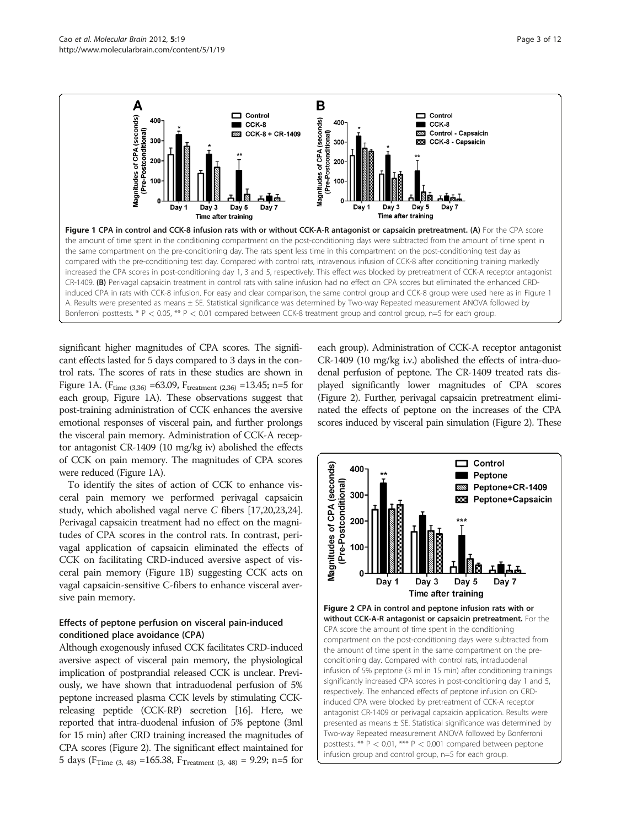<span id="page-2-0"></span>

significant higher magnitudes of CPA scores. The significant effects lasted for 5 days compared to 3 days in the control rats. The scores of rats in these studies are shown in Figure 1A. ( $F_{time (3,36)} = 63.09$ ,  $F_{treatment (2,36)} = 13.45$ ; n=5 for each group, Figure 1A). These observations suggest that post-training administration of CCK enhances the aversive emotional responses of visceral pain, and further prolongs the visceral pain memory. Administration of CCK-A receptor antagonist CR-1409 (10 mg/kg iv) abolished the effects of CCK on pain memory. The magnitudes of CPA scores were reduced (Figure 1A).

To identify the sites of action of CCK to enhance visceral pain memory we performed perivagal capsaicin study, which abolished vagal nerve C fibers [[17,20,23,24](#page-10-0)]. Perivagal capsaicin treatment had no effect on the magnitudes of CPA scores in the control rats. In contrast, perivagal application of capsaicin eliminated the effects of CCK on facilitating CRD-induced aversive aspect of visceral pain memory (Figure 1B) suggesting CCK acts on vagal capsaicin-sensitive C-fibers to enhance visceral aversive pain memory.

# Effects of peptone perfusion on visceral pain-induced conditioned place avoidance (CPA)

Although exogenously infused CCK facilitates CRD-induced aversive aspect of visceral pain memory, the physiological implication of postprandial released CCK is unclear. Previously, we have shown that intraduodenal perfusion of 5% peptone increased plasma CCK levels by stimulating CCKreleasing peptide (CCK-RP) secretion [\[16\]](#page-10-0). Here, we reported that intra-duodenal infusion of 5% peptone (3ml for 15 min) after CRD training increased the magnitudes of CPA scores (Figure 2). The significant effect maintained for 5 days ( $F_{Time (3, 48)} = 165.38$ ,  $F_{Treatment (3, 48)} = 9.29$ ; n=5 for

each group). Administration of CCK-A receptor antagonist CR-1409 (10 mg/kg i.v.) abolished the effects of intra-duodenal perfusion of peptone. The CR-1409 treated rats displayed significantly lower magnitudes of CPA scores (Figure 2). Further, perivagal capsaicin pretreatment eliminated the effects of peptone on the increases of the CPA scores induced by visceral pain simulation (Figure 2). These

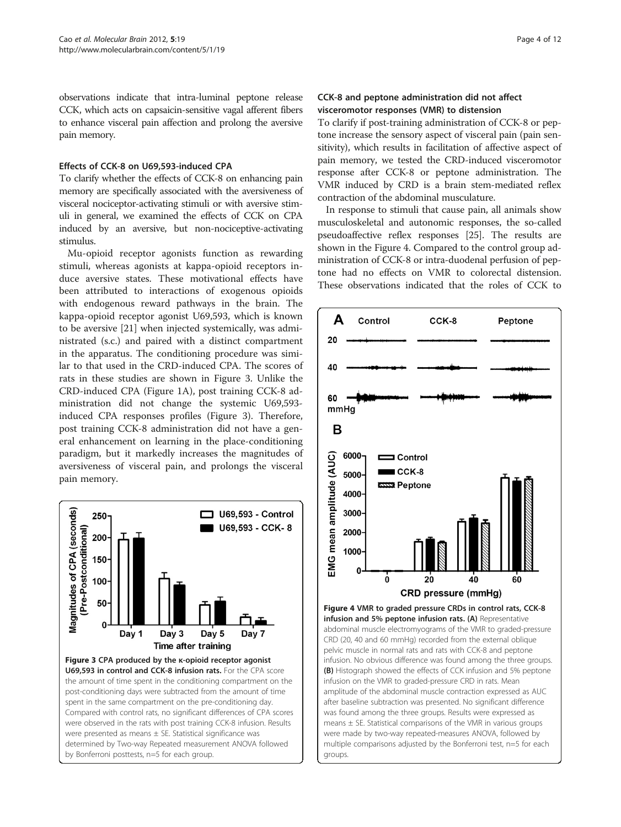observations indicate that intra-luminal peptone release CCK, which acts on capsaicin-sensitive vagal afferent fibers to enhance visceral pain affection and prolong the aversive pain memory.

#### Effects of CCK-8 on U69,593-induced CPA

To clarify whether the effects of CCK-8 on enhancing pain memory are specifically associated with the aversiveness of visceral nociceptor-activating stimuli or with aversive stimuli in general, we examined the effects of CCK on CPA induced by an aversive, but non-nociceptive-activating stimulus.

Mu-opioid receptor agonists function as rewarding stimuli, whereas agonists at kappa-opioid receptors induce aversive states. These motivational effects have been attributed to interactions of exogenous opioids with endogenous reward pathways in the brain. The kappa-opioid receptor agonist U69,593, which is known to be aversive [[21\]](#page-10-0) when injected systemically, was administrated (s.c.) and paired with a distinct compartment in the apparatus. The conditioning procedure was similar to that used in the CRD-induced CPA. The scores of rats in these studies are shown in Figure 3. Unlike the CRD-induced CPA (Figure [1A\)](#page-2-0), post training CCK-8 administration did not change the systemic U69,593 induced CPA responses profiles (Figure 3). Therefore, post training CCK-8 administration did not have a general enhancement on learning in the place-conditioning paradigm, but it markedly increases the magnitudes of aversiveness of visceral pain, and prolongs the visceral pain memory.



# CCK-8 and peptone administration did not affect visceromotor responses (VMR) to distension

To clarify if post-training administration of CCK-8 or peptone increase the sensory aspect of visceral pain (pain sensitivity), which results in facilitation of affective aspect of pain memory, we tested the CRD-induced visceromotor response after CCK-8 or peptone administration. The VMR induced by CRD is a brain stem-mediated reflex contraction of the abdominal musculature.

In response to stimuli that cause pain, all animals show musculoskeletal and autonomic responses, the so-called pseudoaffective reflex responses [[25](#page-10-0)]. The results are shown in the Figure 4. Compared to the control group administration of CCK-8 or intra-duodenal perfusion of peptone had no effects on VMR to colorectal distension. These observations indicated that the roles of CCK to

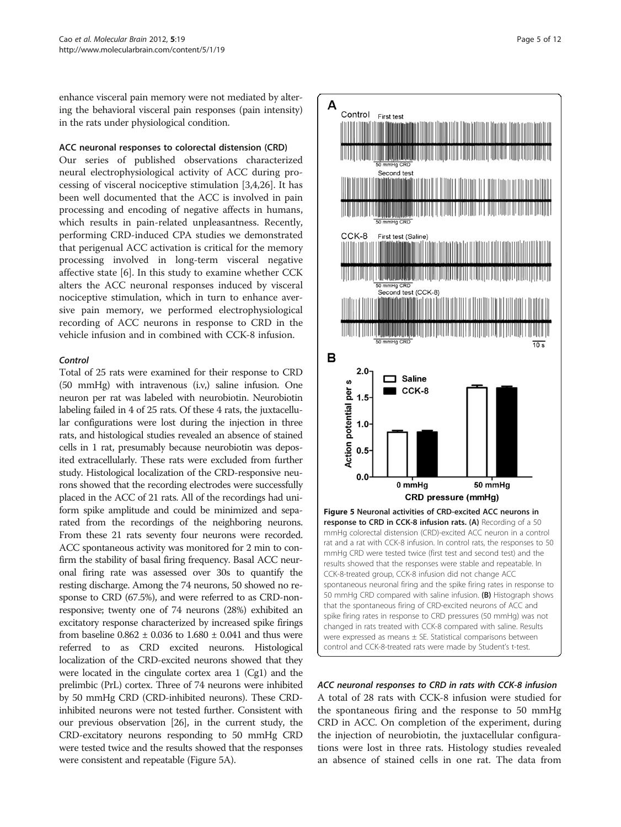<span id="page-4-0"></span>enhance visceral pain memory were not mediated by altering the behavioral visceral pain responses (pain intensity) in the rats under physiological condition.

#### ACC neuronal responses to colorectal distension (CRD)

Our series of published observations characterized neural electrophysiological activity of ACC during processing of visceral nociceptive stimulation [\[3,4,26](#page-10-0)]. It has been well documented that the ACC is involved in pain processing and encoding of negative affects in humans, which results in pain-related unpleasantness. Recently, performing CRD-induced CPA studies we demonstrated that perigenual ACC activation is critical for the memory processing involved in long-term visceral negative affective state [\[6](#page-10-0)]. In this study to examine whether CCK alters the ACC neuronal responses induced by visceral nociceptive stimulation, which in turn to enhance aversive pain memory, we performed electrophysiological recording of ACC neurons in response to CRD in the vehicle infusion and in combined with CCK-8 infusion.

#### Control

Total of 25 rats were examined for their response to CRD (50 mmHg) with intravenous (i.v,) saline infusion. One neuron per rat was labeled with neurobiotin. Neurobiotin labeling failed in 4 of 25 rats. Of these 4 rats, the juxtacellular configurations were lost during the injection in three rats, and histological studies revealed an absence of stained cells in 1 rat, presumably because neurobiotin was deposited extracellularly. These rats were excluded from further study. Histological localization of the CRD-responsive neurons showed that the recording electrodes were successfully placed in the ACC of 21 rats. All of the recordings had uniform spike amplitude and could be minimized and separated from the recordings of the neighboring neurons. From these 21 rats seventy four neurons were recorded. ACC spontaneous activity was monitored for 2 min to confirm the stability of basal firing frequency. Basal ACC neuronal firing rate was assessed over 30s to quantify the resting discharge. Among the 74 neurons, 50 showed no response to CRD (67.5%), and were referred to as CRD-nonresponsive; twenty one of 74 neurons (28%) exhibited an excitatory response characterized by increased spike firings from baseline  $0.862 \pm 0.036$  to  $1.680 \pm 0.041$  and thus were referred to as CRD excited neurons. Histological localization of the CRD-excited neurons showed that they were located in the cingulate cortex area 1 (Cg1) and the prelimbic (PrL) cortex. Three of 74 neurons were inhibited by 50 mmHg CRD (CRD-inhibited neurons). These CRDinhibited neurons were not tested further. Consistent with our previous observation [\[26](#page-10-0)], in the current study, the CRD-excitatory neurons responding to 50 mmHg CRD were tested twice and the results showed that the responses were consistent and repeatable (Figure 5A).



ACC neuronal responses to CRD in rats with CCK-8 infusion A total of 28 rats with CCK-8 infusion were studied for the spontaneous firing and the response to 50 mmHg CRD in ACC. On completion of the experiment, during the injection of neurobiotin, the juxtacellular configurations were lost in three rats. Histology studies revealed an absence of stained cells in one rat. The data from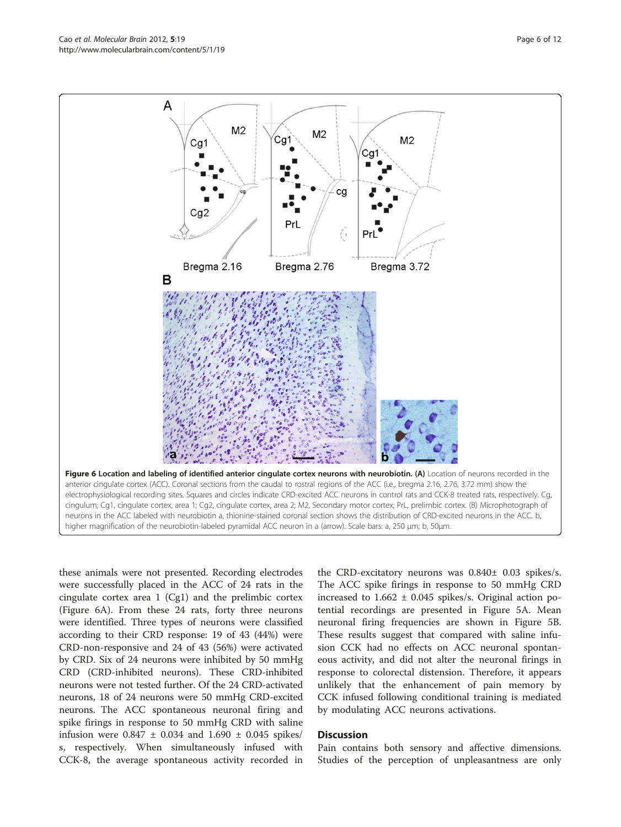these animals were not presented. Recording electrodes were successfully placed in the ACC of 24 rats in the cingulate cortex area 1 (Cg1) and the prelimbic cortex (Figure 6A). From these 24 rats, forty three neurons were identified. Three types of neurons were classified according to their CRD response: 19 of 43 (44%) were CRD-non-responsive and 24 of 43 (56%) were activated by CRD. Six of 24 neurons were inhibited by 50 mmHg CRD (CRD-inhibited neurons). These CRD-inhibited neurons were not tested further. Of the 24 CRD-activated neurons, 18 of 24 neurons were 50 mmHg CRD-excited neurons. The ACC spontaneous neuronal firing and spike firings in response to 50 mmHg CRD with saline infusion were  $0.847 \pm 0.034$  and  $1.690 \pm 0.045$  spikes/ s, respectively. When simultaneously infused with CCK-8, the average spontaneous activity recorded in

the CRD-excitatory neurons was 0.840± 0.03 spikes/s. The ACC spike firings in response to 50 mmHg CRD increased to  $1.662 \pm 0.045$  spikes/s. Original action potential recordings are presented in Figure [5A](#page-4-0). Mean neuronal firing frequencies are shown in Figure [5B](#page-4-0). These results suggest that compared with saline infusion CCK had no effects on ACC neuronal spontaneous activity, and did not alter the neuronal firings in response to colorectal distension. Therefore, it appears unlikely that the enhancement of pain memory by CCK infused following conditional training is mediated by modulating ACC neurons activations.

#### **Discussion**

Pain contains both sensory and affective dimensions. Studies of the perception of unpleasantness are only

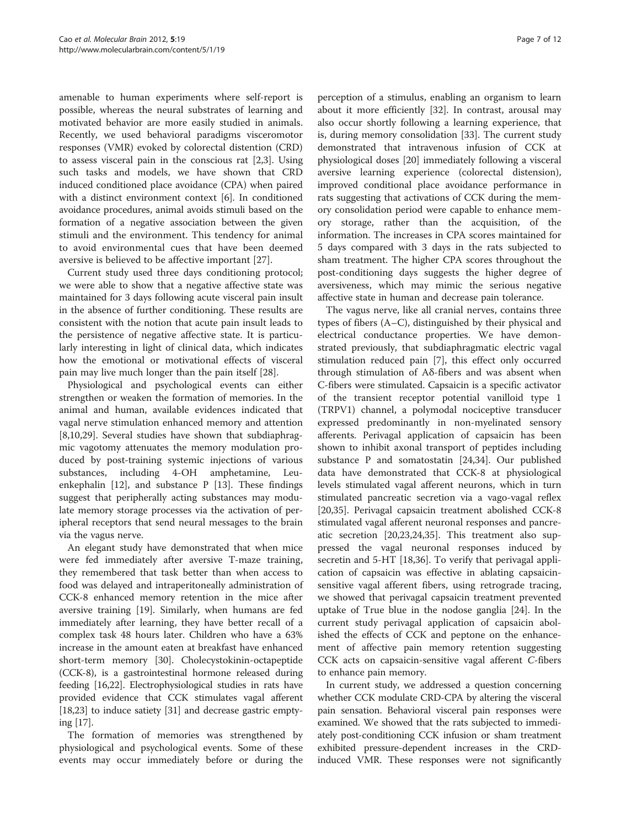amenable to human experiments where self-report is possible, whereas the neural substrates of learning and motivated behavior are more easily studied in animals. Recently, we used behavioral paradigms visceromotor responses (VMR) evoked by colorectal distention (CRD) to assess visceral pain in the conscious rat [[2](#page-10-0),[3\]](#page-10-0). Using such tasks and models, we have shown that CRD induced conditioned place avoidance (CPA) when paired with a distinct environment context [\[6\]](#page-10-0). In conditioned avoidance procedures, animal avoids stimuli based on the formation of a negative association between the given stimuli and the environment. This tendency for animal to avoid environmental cues that have been deemed aversive is believed to be affective important [\[27](#page-10-0)].

Current study used three days conditioning protocol; we were able to show that a negative affective state was maintained for 3 days following acute visceral pain insult in the absence of further conditioning. These results are consistent with the notion that acute pain insult leads to the persistence of negative affective state. It is particularly interesting in light of clinical data, which indicates how the emotional or motivational effects of visceral pain may live much longer than the pain itself [\[28\]](#page-10-0).

Physiological and psychological events can either strengthen or weaken the formation of memories. In the animal and human, available evidences indicated that vagal nerve stimulation enhanced memory and attention [[8,10,29\]](#page-10-0). Several studies have shown that subdiaphragmic vagotomy attenuates the memory modulation produced by post-training systemic injections of various substances, including 4-OH amphetamine, Leu-enkephalin [[12](#page-10-0)], and substance P [\[13](#page-10-0)]. These findings suggest that peripherally acting substances may modulate memory storage processes via the activation of peripheral receptors that send neural messages to the brain via the vagus nerve.

An elegant study have demonstrated that when mice were fed immediately after aversive T-maze training, they remembered that task better than when access to food was delayed and intraperitoneally administration of CCK-8 enhanced memory retention in the mice after aversive training [[19](#page-10-0)]. Similarly, when humans are fed immediately after learning, they have better recall of a complex task 48 hours later. Children who have a 63% increase in the amount eaten at breakfast have enhanced short-term memory [[30\]](#page-11-0). Cholecystokinin-octapeptide (CCK-8), is a gastrointestinal hormone released during feeding [\[16,22\]](#page-10-0). Electrophysiological studies in rats have provided evidence that CCK stimulates vagal afferent [[18,23](#page-10-0)] to induce satiety [[31](#page-11-0)] and decrease gastric emptying [[17](#page-10-0)].

The formation of memories was strengthened by physiological and psychological events. Some of these events may occur immediately before or during the

perception of a stimulus, enabling an organism to learn about it more efficiently [\[32](#page-11-0)]. In contrast, arousal may also occur shortly following a learning experience, that is, during memory consolidation [\[33](#page-11-0)]. The current study demonstrated that intravenous infusion of CCK at physiological doses [[20](#page-10-0)] immediately following a visceral aversive learning experience (colorectal distension), improved conditional place avoidance performance in rats suggesting that activations of CCK during the memory consolidation period were capable to enhance memory storage, rather than the acquisition, of the information. The increases in CPA scores maintained for 5 days compared with 3 days in the rats subjected to sham treatment. The higher CPA scores throughout the post-conditioning days suggests the higher degree of aversiveness, which may mimic the serious negative affective state in human and decrease pain tolerance.

The vagus nerve, like all cranial nerves, contains three types of fibers (A–C), distinguished by their physical and electrical conductance properties. We have demonstrated previously, that subdiaphragmatic electric vagal stimulation reduced pain [[7](#page-10-0)], this effect only occurred through stimulation of Aδ-fibers and was absent when C-fibers were stimulated. Capsaicin is a specific activator of the transient receptor potential vanilloid type 1 (TRPV1) channel, a polymodal nociceptive transducer expressed predominantly in non-myelinated sensory afferents. Perivagal application of capsaicin has been shown to inhibit axonal transport of peptides including substance P and somatostatin [[24,](#page-10-0)[34\]](#page-11-0). Our published data have demonstrated that CCK-8 at physiological levels stimulated vagal afferent neurons, which in turn stimulated pancreatic secretion via a vago-vagal reflex [[20,](#page-10-0)[35\]](#page-11-0). Perivagal capsaicin treatment abolished CCK-8 stimulated vagal afferent neuronal responses and pancreatic secretion [[20,23,24](#page-10-0)[,35](#page-11-0)]. This treatment also suppressed the vagal neuronal responses induced by secretin and 5-HT [\[18](#page-10-0)[,36](#page-11-0)]. To verify that perivagal application of capsaicin was effective in ablating capsaicinsensitive vagal afferent fibers, using retrograde tracing, we showed that perivagal capsaicin treatment prevented uptake of True blue in the nodose ganglia [\[24](#page-10-0)]. In the current study perivagal application of capsaicin abolished the effects of CCK and peptone on the enhancement of affective pain memory retention suggesting CCK acts on capsaicin-sensitive vagal afferent C-fibers to enhance pain memory.

In current study, we addressed a question concerning whether CCK modulate CRD-CPA by altering the visceral pain sensation. Behavioral visceral pain responses were examined. We showed that the rats subjected to immediately post-conditioning CCK infusion or sham treatment exhibited pressure-dependent increases in the CRDinduced VMR. These responses were not significantly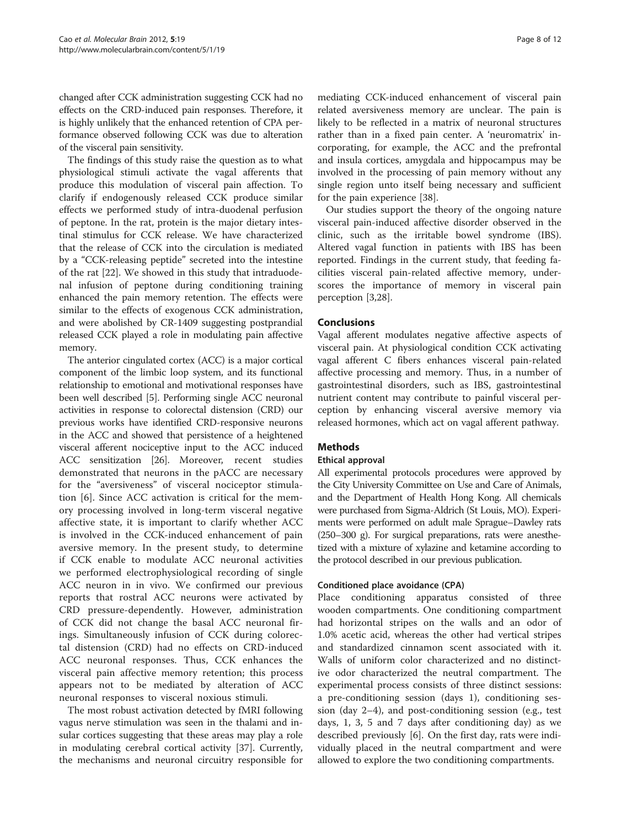changed after CCK administration suggesting CCK had no effects on the CRD-induced pain responses. Therefore, it is highly unlikely that the enhanced retention of CPA performance observed following CCK was due to alteration of the visceral pain sensitivity.

The findings of this study raise the question as to what physiological stimuli activate the vagal afferents that produce this modulation of visceral pain affection. To clarify if endogenously released CCK produce similar effects we performed study of intra-duodenal perfusion of peptone. In the rat, protein is the major dietary intestinal stimulus for CCK release. We have characterized that the release of CCK into the circulation is mediated by a "CCK-releasing peptide" secreted into the intestine of the rat [[22\]](#page-10-0). We showed in this study that intraduodenal infusion of peptone during conditioning training enhanced the pain memory retention. The effects were similar to the effects of exogenous CCK administration, and were abolished by CR-1409 suggesting postprandial released CCK played a role in modulating pain affective memory.

The anterior cingulated cortex (ACC) is a major cortical component of the limbic loop system, and its functional relationship to emotional and motivational responses have been well described [\[5\]](#page-10-0). Performing single ACC neuronal activities in response to colorectal distension (CRD) our previous works have identified CRD-responsive neurons in the ACC and showed that persistence of a heightened visceral afferent nociceptive input to the ACC induced ACC sensitization [\[26\]](#page-10-0). Moreover, recent studies demonstrated that neurons in the pACC are necessary for the "aversiveness" of visceral nociceptor stimulation [[6\]](#page-10-0). Since ACC activation is critical for the memory processing involved in long-term visceral negative affective state, it is important to clarify whether ACC is involved in the CCK-induced enhancement of pain aversive memory. In the present study, to determine if CCK enable to modulate ACC neuronal activities we performed electrophysiological recording of single ACC neuron in in vivo. We confirmed our previous reports that rostral ACC neurons were activated by CRD pressure-dependently. However, administration of CCK did not change the basal ACC neuronal firings. Simultaneously infusion of CCK during colorectal distension (CRD) had no effects on CRD-induced ACC neuronal responses. Thus, CCK enhances the visceral pain affective memory retention; this process appears not to be mediated by alteration of ACC neuronal responses to visceral noxious stimuli.

The most robust activation detected by fMRI following vagus nerve stimulation was seen in the thalami and insular cortices suggesting that these areas may play a role in modulating cerebral cortical activity [\[37](#page-11-0)]. Currently, the mechanisms and neuronal circuitry responsible for

mediating CCK-induced enhancement of visceral pain related aversiveness memory are unclear. The pain is likely to be reflected in a matrix of neuronal structures rather than in a fixed pain center. A 'neuromatrix' incorporating, for example, the ACC and the prefrontal and insula cortices, amygdala and hippocampus may be involved in the processing of pain memory without any single region unto itself being necessary and sufficient for the pain experience [\[38](#page-11-0)].

Our studies support the theory of the ongoing nature visceral pain-induced affective disorder observed in the clinic, such as the irritable bowel syndrome (IBS). Altered vagal function in patients with IBS has been reported. Findings in the current study, that feeding facilities visceral pain-related affective memory, underscores the importance of memory in visceral pain perception [\[3,28](#page-10-0)].

# Conclusions

Vagal afferent modulates negative affective aspects of visceral pain. At physiological condition CCK activating vagal afferent C fibers enhances visceral pain-related affective processing and memory. Thus, in a number of gastrointestinal disorders, such as IBS, gastrointestinal nutrient content may contribute to painful visceral perception by enhancing visceral aversive memory via released hormones, which act on vagal afferent pathway.

# **Methods**

#### Ethical approval

All experimental protocols procedures were approved by the City University Committee on Use and Care of Animals, and the Department of Health Hong Kong. All chemicals were purchased from Sigma-Aldrich (St Louis, MO). Experiments were performed on adult male Sprague–Dawley rats (250–300 g). For surgical preparations, rats were anesthetized with a mixture of xylazine and ketamine according to the protocol described in our previous publication.

#### Conditioned place avoidance (CPA)

Place conditioning apparatus consisted of three wooden compartments. One conditioning compartment had horizontal stripes on the walls and an odor of 1.0% acetic acid, whereas the other had vertical stripes and standardized cinnamon scent associated with it. Walls of uniform color characterized and no distinctive odor characterized the neutral compartment. The experimental process consists of three distinct sessions: a pre-conditioning session (days 1), conditioning session (day 2–4), and post-conditioning session (e.g., test days, 1, 3, 5 and 7 days after conditioning day) as we described previously [\[6](#page-10-0)]. On the first day, rats were individually placed in the neutral compartment and were allowed to explore the two conditioning compartments.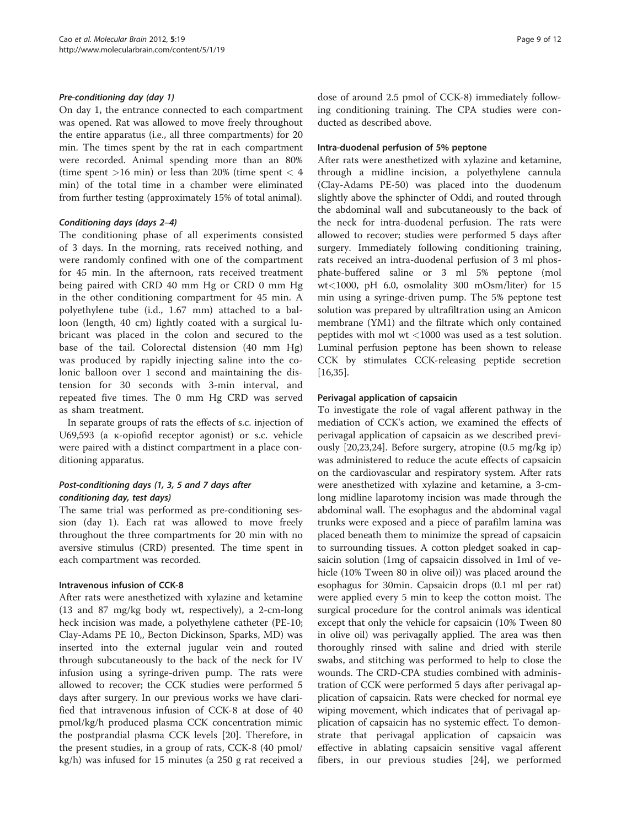#### Pre-conditioning day (day 1)

On day 1, the entrance connected to each compartment was opened. Rat was allowed to move freely throughout the entire apparatus (i.e., all three compartments) for 20 min. The times spent by the rat in each compartment were recorded. Animal spending more than an 80% (time spent  $>16$  min) or less than 20% (time spent  $< 4$ min) of the total time in a chamber were eliminated from further testing (approximately 15% of total animal).

# Conditioning days (days 2–4)

The conditioning phase of all experiments consisted of 3 days. In the morning, rats received nothing, and were randomly confined with one of the compartment for 45 min. In the afternoon, rats received treatment being paired with CRD 40 mm Hg or CRD 0 mm Hg in the other conditioning compartment for 45 min. A polyethylene tube (i.d., 1.67 mm) attached to a balloon (length, 40 cm) lightly coated with a surgical lubricant was placed in the colon and secured to the base of the tail. Colorectal distension (40 mm Hg) was produced by rapidly injecting saline into the colonic balloon over 1 second and maintaining the distension for 30 seconds with 3-min interval, and repeated five times. The 0 mm Hg CRD was served as sham treatment.

In separate groups of rats the effects of s.c. injection of U69,593 (a ĸ-opiofid receptor agonist) or s.c. vehicle were paired with a distinct compartment in a place conditioning apparatus.

# Post-conditioning days (1, 3, 5 and 7 days after conditioning day, test days)

The same trial was performed as pre-conditioning session (day 1). Each rat was allowed to move freely throughout the three compartments for 20 min with no aversive stimulus (CRD) presented. The time spent in each compartment was recorded.

# Intravenous infusion of CCK-8

After rats were anesthetized with xylazine and ketamine (13 and 87 mg/kg body wt, respectively), a 2-cm-long heck incision was made, a polyethylene catheter (PE-10; Clay-Adams PE 10,, Becton Dickinson, Sparks, MD) was inserted into the external jugular vein and routed through subcutaneously to the back of the neck for IV infusion using a syringe-driven pump. The rats were allowed to recover; the CCK studies were performed 5 days after surgery. In our previous works we have clarified that intravenous infusion of CCK-8 at dose of 40 pmol/kg/h produced plasma CCK concentration mimic the postprandial plasma CCK levels [\[20](#page-10-0)]. Therefore, in the present studies, in a group of rats, CCK-8 (40 pmol/ kg/h) was infused for 15 minutes (a 250 g rat received a

dose of around 2.5 pmol of CCK-8) immediately following conditioning training. The CPA studies were conducted as described above.

#### Intra-duodenal perfusion of 5% peptone

After rats were anesthetized with xylazine and ketamine, through a midline incision, a polyethylene cannula (Clay-Adams PE-50) was placed into the duodenum slightly above the sphincter of Oddi, and routed through the abdominal wall and subcutaneously to the back of the neck for intra-duodenal perfusion. The rats were allowed to recover; studies were performed 5 days after surgery. Immediately following conditioning training, rats received an intra-duodenal perfusion of 3 ml phosphate-buffered saline or 3 ml 5% peptone (mol wt<1000, pH 6.0, osmolality 300 mOsm/liter) for 15 min using a syringe-driven pump. The 5% peptone test solution was prepared by ultrafiltration using an Amicon membrane (YM1) and the filtrate which only contained peptides with mol wt <1000 was used as a test solution. Luminal perfusion peptone has been shown to release CCK by stimulates CCK-releasing peptide secretion [[16,](#page-10-0)[35\]](#page-11-0).

# Perivagal application of capsaicin

To investigate the role of vagal afferent pathway in the mediation of CCK's action, we examined the effects of perivagal application of capsaicin as we described previously [[20,23,24\]](#page-10-0). Before surgery, atropine (0.5 mg/kg ip) was administered to reduce the acute effects of capsaicin on the cardiovascular and respiratory system. After rats were anesthetized with xylazine and ketamine, a 3-cmlong midline laparotomy incision was made through the abdominal wall. The esophagus and the abdominal vagal trunks were exposed and a piece of parafilm lamina was placed beneath them to minimize the spread of capsaicin to surrounding tissues. A cotton pledget soaked in capsaicin solution (1mg of capsaicin dissolved in 1ml of vehicle (10% Tween 80 in olive oil)) was placed around the esophagus for 30min. Capsaicin drops (0.1 ml per rat) were applied every 5 min to keep the cotton moist. The surgical procedure for the control animals was identical except that only the vehicle for capsaicin (10% Tween 80 in olive oil) was perivagally applied. The area was then thoroughly rinsed with saline and dried with sterile swabs, and stitching was performed to help to close the wounds. The CRD-CPA studies combined with administration of CCK were performed 5 days after perivagal application of capsaicin. Rats were checked for normal eye wiping movement, which indicates that of perivagal application of capsaicin has no systemic effect. To demonstrate that perivagal application of capsaicin was effective in ablating capsaicin sensitive vagal afferent fibers, in our previous studies [\[24](#page-10-0)], we performed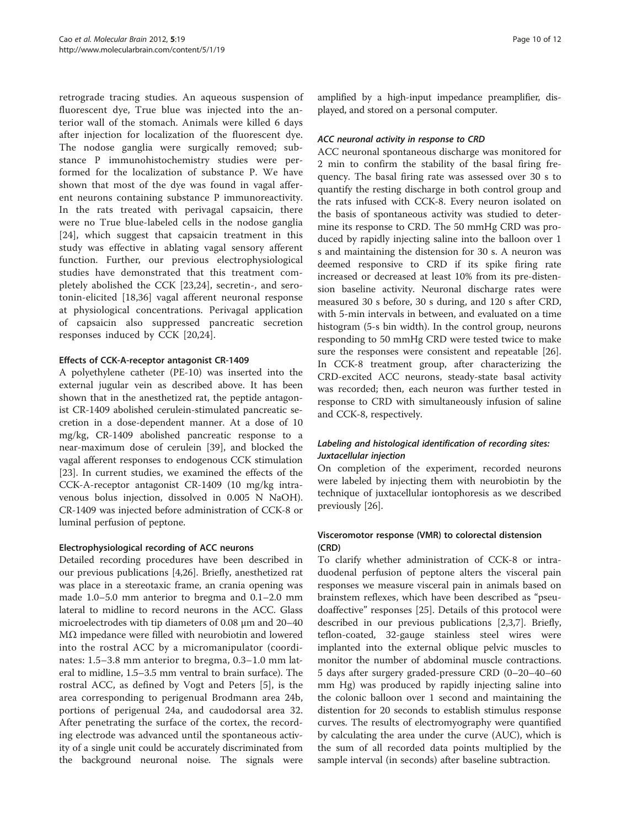retrograde tracing studies. An aqueous suspension of fluorescent dye, True blue was injected into the anterior wall of the stomach. Animals were killed 6 days after injection for localization of the fluorescent dye. The nodose ganglia were surgically removed; substance P immunohistochemistry studies were performed for the localization of substance P. We have shown that most of the dye was found in vagal afferent neurons containing substance P immunoreactivity. In the rats treated with perivagal capsaicin, there were no True blue-labeled cells in the nodose ganglia [[24\]](#page-10-0), which suggest that capsaicin treatment in this study was effective in ablating vagal sensory afferent function. Further, our previous electrophysiological studies have demonstrated that this treatment completely abolished the CCK [[23,24](#page-10-0)], secretin-, and serotonin-elicited [\[18](#page-10-0),[36\]](#page-11-0) vagal afferent neuronal response at physiological concentrations. Perivagal application of capsaicin also suppressed pancreatic secretion responses induced by CCK [\[20,24](#page-10-0)].

# Effects of CCK-A-receptor antagonist CR-1409

A polyethylene catheter (PE-10) was inserted into the external jugular vein as described above. It has been shown that in the anesthetized rat, the peptide antagonist CR-1409 abolished cerulein-stimulated pancreatic secretion in a dose-dependent manner. At a dose of 10 mg/kg, CR-1409 abolished pancreatic response to a near-maximum dose of cerulein [\[39](#page-11-0)], and blocked the vagal afferent responses to endogenous CCK stimulation [[23\]](#page-10-0). In current studies, we examined the effects of the CCK-A-receptor antagonist CR-1409 (10 mg/kg intravenous bolus injection, dissolved in 0.005 N NaOH). CR-1409 was injected before administration of CCK-8 or luminal perfusion of peptone.

# Electrophysiological recording of ACC neurons

Detailed recording procedures have been described in our previous publications [\[4,26](#page-10-0)]. Briefly, anesthetized rat was place in a stereotaxic frame, an crania opening was made 1.0–5.0 mm anterior to bregma and 0.1–2.0 mm lateral to midline to record neurons in the ACC. Glass microelectrodes with tip diameters of 0.08 μm and 20–40 MΩ impedance were filled with neurobiotin and lowered into the rostral ACC by a micromanipulator (coordinates: 1.5–3.8 mm anterior to bregma, 0.3–1.0 mm lateral to midline, 1.5–3.5 mm ventral to brain surface). The rostral ACC, as defined by Vogt and Peters [\[5](#page-10-0)], is the area corresponding to perigenual Brodmann area 24b, portions of perigenual 24a, and caudodorsal area 32. After penetrating the surface of the cortex, the recording electrode was advanced until the spontaneous activity of a single unit could be accurately discriminated from the background neuronal noise. The signals were amplified by a high-input impedance preamplifier, displayed, and stored on a personal computer.

# ACC neuronal activity in response to CRD

ACC neuronal spontaneous discharge was monitored for 2 min to confirm the stability of the basal firing frequency. The basal firing rate was assessed over 30 s to quantify the resting discharge in both control group and the rats infused with CCK-8. Every neuron isolated on the basis of spontaneous activity was studied to determine its response to CRD. The 50 mmHg CRD was produced by rapidly injecting saline into the balloon over 1 s and maintaining the distension for 30 s. A neuron was deemed responsive to CRD if its spike firing rate increased or decreased at least 10% from its pre-distension baseline activity. Neuronal discharge rates were measured 30 s before, 30 s during, and 120 s after CRD, with 5-min intervals in between, and evaluated on a time histogram (5-s bin width). In the control group, neurons responding to 50 mmHg CRD were tested twice to make sure the responses were consistent and repeatable [\[26](#page-10-0)]. In CCK-8 treatment group, after characterizing the CRD-excited ACC neurons, steady-state basal activity was recorded; then, each neuron was further tested in response to CRD with simultaneously infusion of saline and CCK-8, respectively.

# Labeling and histological identification of recording sites: Juxtacellular injection

On completion of the experiment, recorded neurons were labeled by injecting them with neurobiotin by the technique of juxtacellular iontophoresis as we described previously [\[26](#page-10-0)].

# Visceromotor response (VMR) to colorectal distension (CRD)

To clarify whether administration of CCK-8 or intraduodenal perfusion of peptone alters the visceral pain responses we measure visceral pain in animals based on brainstem reflexes, which have been described as "pseudoaffective" responses [[25\]](#page-10-0). Details of this protocol were described in our previous publications [\[2,3,7](#page-10-0)]. Briefly, teflon-coated, 32-gauge stainless steel wires were implanted into the external oblique pelvic muscles to monitor the number of abdominal muscle contractions. 5 days after surgery graded-pressure CRD (0–20–40–60 mm Hg) was produced by rapidly injecting saline into the colonic balloon over 1 second and maintaining the distention for 20 seconds to establish stimulus response curves. The results of electromyography were quantified by calculating the area under the curve (AUC), which is the sum of all recorded data points multiplied by the sample interval (in seconds) after baseline subtraction.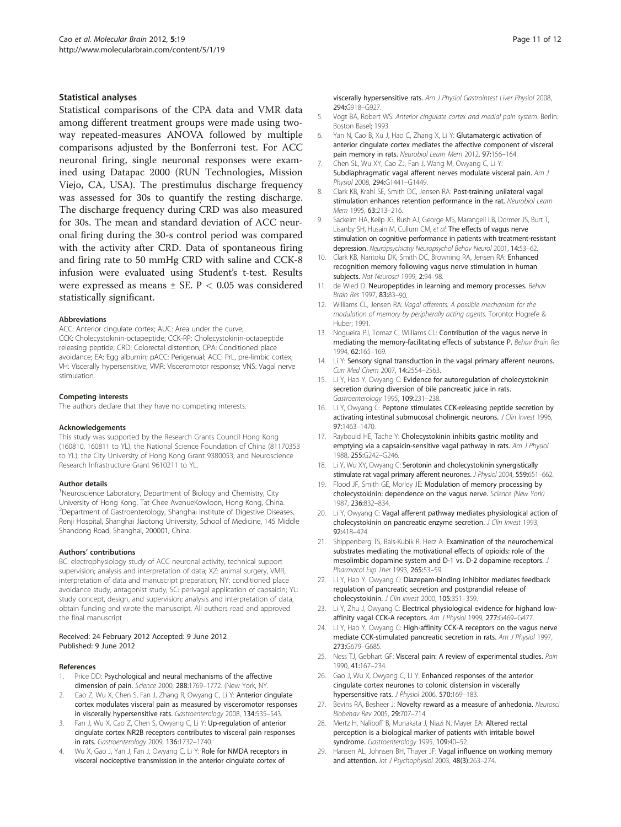#### <span id="page-10-0"></span>Statistical analyses

Statistical comparisons of the CPA data and VMR data among different treatment groups were made using twoway repeated-measures ANOVA followed by multiple comparisons adjusted by the Bonferroni test. For ACC neuronal firing, single neuronal responses were examined using Datapac 2000 (RUN Technologies, Mission Viejo, CA, USA). The prestimulus discharge frequency was assessed for 30s to quantify the resting discharge. The discharge frequency during CRD was also measured for 30s. The mean and standard deviation of ACC neuronal firing during the 30-s control period was compared with the activity after CRD. Data of spontaneous firing and firing rate to 50 mmHg CRD with saline and CCK-8 infusion were evaluated using Student's t-test. Results were expressed as means ± SE. P < 0.05 was considered statistically significant.

#### Abbreviations

ACC: Anterior cingulate cortex; AUC: Area under the curve; CCK: Cholecystokinin-octapeptide; CCK-RP: Cholecystokinin-octapeptide releasing peptide; CRD: Colorectal distention; CPA: Conditioned place avoidance; EA: Egg albumin; pACC: Perigenual; ACC: PrL, pre-limbic cortex; VH: Viscerally hypersensitive; VMR: Visceromotor response; VNS: Vagal nerve stimulation.

#### Competing interests

The authors declare that they have no competing interests.

#### Acknowledgements

This study was supported by the Research Grants Council Hong Kong (160810, 160811 to YL), the National Science Foundation of China (81170353 to YL); the City University of Hong Kong Grant 9380053; and Neuroscience Research Infrastructure Grant 9610211 to YL.

#### Author details

<sup>1</sup>Neuroscience Laboratory, Department of Biology and Chemistry, City University of Hong Kong, Tat Chee AvenueKowloon, Hong Kong, China. <sup>2</sup> Department of Gastroenterology, Shanghai Institute of Digestive Diseases, Renji Hospital, Shanghai Jiaotong University, School of Medicine, 145 Middle Shandong Road, Shanghai, 200001, China.

#### Authors' contributions

BC: electrophysiology study of ACC neuronal activity, technical support supervision; analysis and interpretation of data; XZ: animal surgery, VMR, interpretation of data and manuscript preparation; NY: conditioned place avoidance study, antagonist study; SC: perivagal application of capsaicin; YL: study concept, design, and supervision; analysis and interpretation of data, obtain funding and wrote the manuscript. All authors read and approved the final manuscript.

#### Received: 24 February 2012 Accepted: 9 June 2012 Published: 9 June 2012

#### References

- Price DD: Psychological and neural mechanisms of the affective dimension of pain. Science 2000, 288:1769–1772. (New York, NY.
- 2. Cao Z, Wu X, Chen S, Fan J, Zhang R, Owyang C, Li Y: Anterior cingulate cortex modulates visceral pain as measured by visceromotor responses in viscerally hypersensitive rats. Gastroenterology 2008, 134:535–543.
- Fan J, Wu X, Cao Z, Chen S, Owyang C, Li Y: Up-regulation of anterior cingulate cortex NR2B receptors contributes to visceral pain responses in rats. Gastroenterology 2009, 136:1732–1740.
- 4. Wu X, Gao J, Yan J, Fan J, Owyang C, Li Y: Role for NMDA receptors in visceral nociceptive transmission in the anterior cingulate cortex of

viscerally hypersensitive rats. Am J Physiol Gastrointest Liver Physiol 2008, 294:G918–G927.

- 5. Vogt BA, Robert WS: Anterior cingulate cortex and medial pain system. Berlin: Boston Basel; 1993.
- 6. Yan N, Cao B, Xu J, Hao C, Zhang X, Li Y: Glutamatergic activation of anterior cingulate cortex mediates the affective component of visceral pain memory in rats. Neurobiol Learn Mem 2012, 97:156-164.
- 7. Chen SL, Wu XY, Cao ZJ, Fan J, Wang M, Owyang C, Li Y: Subdiaphragmatic vagal afferent nerves modulate visceral pain. Am J Physiol 2008, 294:G1441–G1449.
- 8. Clark KB, Krahl SE, Smith DC, Jensen RA: Post-training unilateral vagal stimulation enhances retention performance in the rat. Neurobiol Learn Mem 1995, 63:213–216.
- Sackeim HA, Keilp JG, Rush AJ, George MS, Marangell LB, Dormer JS, Burt T, Lisanby SH, Husain M, Cullum CM, et al: The effects of vagus nerve stimulation on cognitive performance in patients with treatment-resistant depression. Neuropsychiatry Neuropsychol Behav Neurol 2001, 14:53-62.
- 10. Clark KB, Naritoku DK, Smith DC, Browning RA, Jensen RA: Enhanced recognition memory following vagus nerve stimulation in human subjects. Nat Neurosci 1999, 2:94–98.
- 11. de Wied D: Neuropeptides in learning and memory processes. Behav Brain Res 1997, 83:83–90.
- 12. Williams CL, Jensen RA: Vagal afferents: A possible mechanism for the modulation of memory by peripherally acting agents. Toronto: Hogrefe & Huber; 1991.
- 13. Nogueira PJ, Tomaz C, Williams CL: Contribution of the vagus nerve in mediating the memory-facilitating effects of substance P. Behav Brain Res 1994, 62:165–169.
- 14. Li Y: Sensory signal transduction in the vagal primary afferent neurons. Curr Med Chem 2007, 14:2554–2563.
- 15. Li Y, Hao Y, Owyang C: Evidence for autoregulation of cholecystokinin secretion during diversion of bile pancreatic juice in rats. Gastroenterology 1995, 109:231–238.
- 16. Li Y, Owyang C: Peptone stimulates CCK-releasing peptide secretion by activating intestinal submucosal cholinergic neurons. J Clin Invest 1996, 97:1463–1470.
- 17. Raybould HE, Tache Y: Cholecystokinin inhibits gastric motility and emptying via a capsaicin-sensitive vagal pathway in rats. Am J Physiol 1988, 255:G242–G246.
- 18. Li Y, Wu XY, Owyang C: Serotonin and cholecystokinin synergistically stimulate rat vagal primary afferent neurones. J Physiol 2004, 559:651–662.
- 19. Flood JF, Smith GE, Morley JE: Modulation of memory processing by cholecystokinin: dependence on the vagus nerve. Science (New York) 1987, 236:832–834.
- 20. Li Y, Owyang C: Vagal afferent pathway mediates physiological action of cholecystokinin on pancreatic enzyme secretion. J Clin Invest 1993, 92:418–424.
- 21. Shippenberg TS, Bals-Kubik R, Herz A: Examination of the neurochemical substrates mediating the motivational effects of opioids: role of the mesolimbic dopamine system and D-1 vs. D-2 dopamine receptors. J Pharmacol Exp Ther 1993, 265:53–59.
- 22. Li Y, Hao Y, Owyang C: Diazepam-binding inhibitor mediates feedback regulation of pancreatic secretion and postprandial release of cholecystokinin. J Clin Invest 2000, 105:351–359.
- 23. Li Y, Zhu J, Owyang C: Electrical physiological evidence for highand lowaffinity vagal CCK-A receptors. Am J Physiol 1999, 277:G469–G477.
- 24. Li Y, Hao Y, Owyang C: High-affinity CCK-A receptors on the vagus nerve mediate CCK-stimulated pancreatic secretion in rats. Am J Physiol 1997, 273:G679–G685.
- 25. Ness TJ, Gebhart GF: Visceral pain: A review of experimental studies. Pain 1990, 41:167–234.
- 26. Gao J, Wu X, Owyang C, Li Y: Enhanced responses of the anterior cingulate cortex neurones to colonic distension in viscerally hypersensitive rats. J Physiol 2006, 570:169-183.
- 27. Bevins RA, Besheer J: Novelty reward as a measure of anhedonia. Neurosci Biobehav Rev 2005, 29:707–714.
- 28. Mertz H, Naliboff B, Munakata J, Niazi N, Mayer EA: Altered rectal perception is a biological marker of patients with irritable bowel syndrome. Gastroenterology 1995, 109:40-52.
- 29. Hansen AL, Johnsen BH, Thayer JF: Vagal influence on working memory and attention. Int J Psychophysiol 2003, 48(3):263-274.